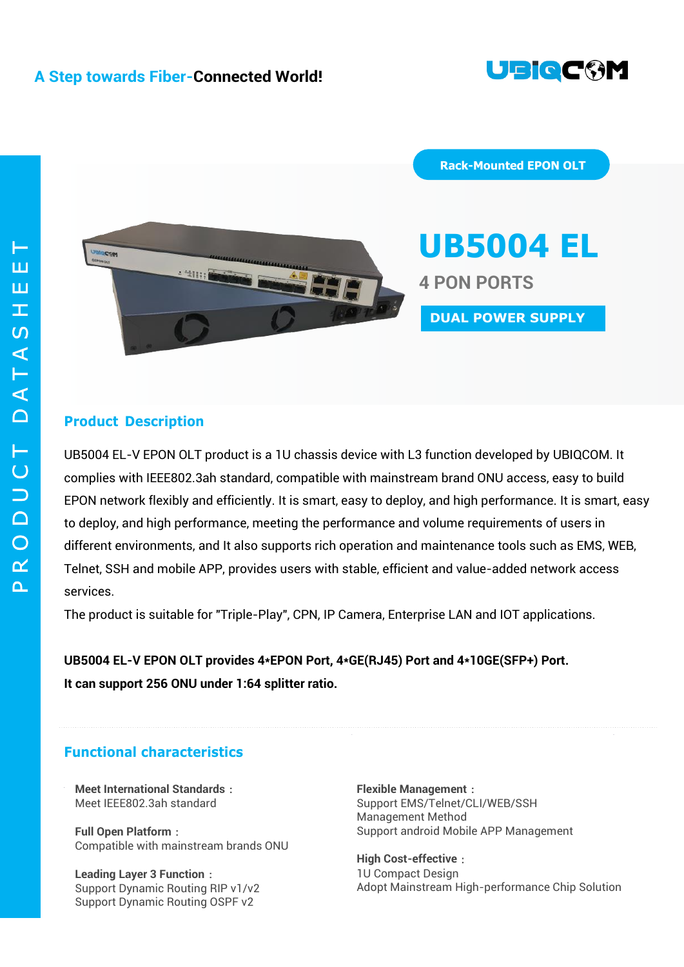



**UB5004 EL 4 PON PORTS DUAL POWER SUPPLY**

**Rack-Mounted EPON OLT**

# **Product Description**

UB5004 EL-V EPON OLT product is a 1U chassis device with L3 function developed by UBIQCOM. It complies with IEEE802.3ah standard, compatible with mainstream brand ONU access, easy to build EPON network flexibly and efficiently. It is smart, easy to deploy, and high performance. It is smart, easy to deploy, and high performance, meeting the performance and volume requirements of users in different environments, and It also supports rich operation and maintenance tools such as EMS, WEB, Telnet, SSH and mobile APP, provides users with stable, efficient and value-added network access services.

The product is suitable for "Triple-Play", CPN, IP Camera, Enterprise LAN and IOT applications.

**UB5004 EL-V EPON OLT provides 4\*EPON Port, 4\*GE(RJ45) Port and 4\*10GE(SFP+) Port. It can support 256 ONU under 1:64 splitter ratio.**

# **Functional characteristics**

**Meet International Standards**: Meet IEEE802.3ah standard

**Full Open Platform**: Compatible with mainstream brands ONU

**Leading Layer 3 Function**: Support Dynamic Routing RIP v1/v2 Support Dynamic Routing OSPF v2

**Flexible Management**: Support EMS/Telnet/CLI/WEB/SSH Management Method Support android Mobile APP Management

**High Cost-effective**: 1U Compact Design Adopt Mainstream High-performance Chip Solution